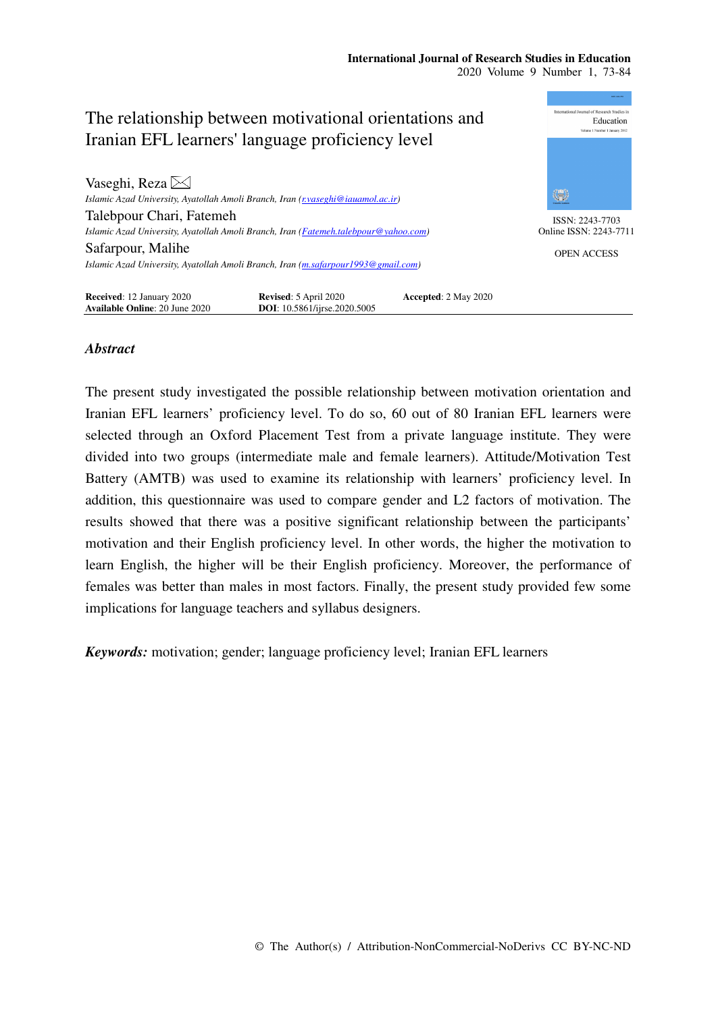

# *Abstract*

The present study investigated the possible relationship between motivation orientation and Iranian EFL learners' proficiency level. To do so, 60 out of 80 Iranian EFL learners were selected through an Oxford Placement Test from a private language institute. They were divided into two groups (intermediate male and female learners). Attitude/Motivation Test Battery (AMTB) was used to examine its relationship with learners' proficiency level. In addition, this questionnaire was used to compare gender and L2 factors of motivation. The results showed that there was a positive significant relationship between the participants' motivation and their English proficiency level. In other words, the higher the motivation to learn English, the higher will be their English proficiency. Moreover, the performance of females was better than males in most factors. Finally, the present study provided few some implications for language teachers and syllabus designers.

*Keywords:* motivation; gender; language proficiency level; Iranian EFL learners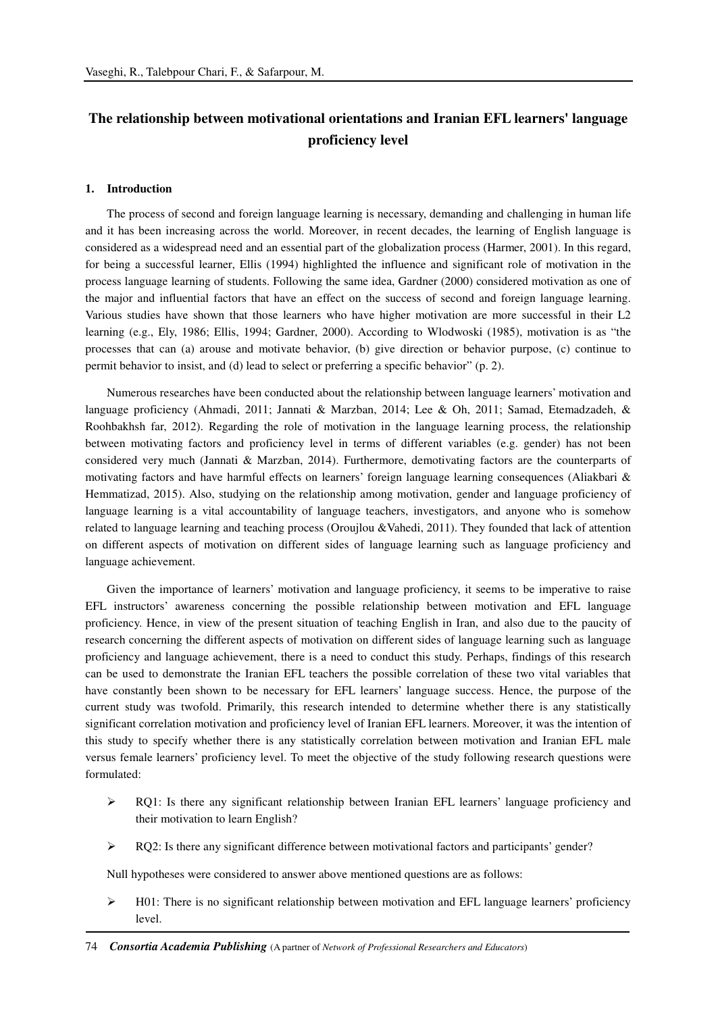# **The relationship between motivational orientations and Iranian EFL learners' language proficiency level**

#### **1. Introduction**

The process of second and foreign language learning is necessary, demanding and challenging in human life and it has been increasing across the world. Moreover, in recent decades, the learning of English language is considered as a widespread need and an essential part of the globalization process (Harmer, 2001). In this regard, for being a successful learner, Ellis (1994) highlighted the influence and significant role of motivation in the process language learning of students. Following the same idea, Gardner (2000) considered motivation as one of the major and influential factors that have an effect on the success of second and foreign language learning. Various studies have shown that those learners who have higher motivation are more successful in their L2 learning (e.g., Ely, 1986; Ellis, 1994; Gardner, 2000). According to Wlodwoski (1985), motivation is as "the processes that can (a) arouse and motivate behavior, (b) give direction or behavior purpose, (c) continue to permit behavior to insist, and (d) lead to select or preferring a specific behavior" (p. 2).

Numerous researches have been conducted about the relationship between language learners' motivation and language proficiency (Ahmadi, 2011; Jannati & Marzban, 2014; Lee & Oh, 2011; Samad, Etemadzadeh, & Roohbakhsh far, 2012). Regarding the role of motivation in the language learning process, the relationship between motivating factors and proficiency level in terms of different variables (e.g. gender) has not been considered very much (Jannati & Marzban, 2014). Furthermore, demotivating factors are the counterparts of motivating factors and have harmful effects on learners' foreign language learning consequences (Aliakbari & Hemmatizad, 2015). Also, studying on the relationship among motivation, gender and language proficiency of language learning is a vital accountability of language teachers, investigators, and anyone who is somehow related to language learning and teaching process (Oroujlou &Vahedi, 2011). They founded that lack of attention on different aspects of motivation on different sides of language learning such as language proficiency and language achievement.

Given the importance of learners' motivation and language proficiency, it seems to be imperative to raise EFL instructors' awareness concerning the possible relationship between motivation and EFL language proficiency. Hence, in view of the present situation of teaching English in Iran, and also due to the paucity of research concerning the different aspects of motivation on different sides of language learning such as language proficiency and language achievement, there is a need to conduct this study. Perhaps, findings of this research can be used to demonstrate the Iranian EFL teachers the possible correlation of these two vital variables that have constantly been shown to be necessary for EFL learners' language success. Hence, the purpose of the current study was twofold. Primarily, this research intended to determine whether there is any statistically significant correlation motivation and proficiency level of Iranian EFL learners. Moreover, it was the intention of this study to specify whether there is any statistically correlation between motivation and Iranian EFL male versus female learners' proficiency level. To meet the objective of the study following research questions were formulated:

- ▶ RQ1: Is there any significant relationship between Iranian EFL learners' language proficiency and their motivation to learn English?
- $\triangleright$  RQ2: Is there any significant difference between motivational factors and participants' gender?

Null hypotheses were considered to answer above mentioned questions are as follows:

 $\triangleright$  H01: There is no significant relationship between motivation and EFL language learners' proficiency level.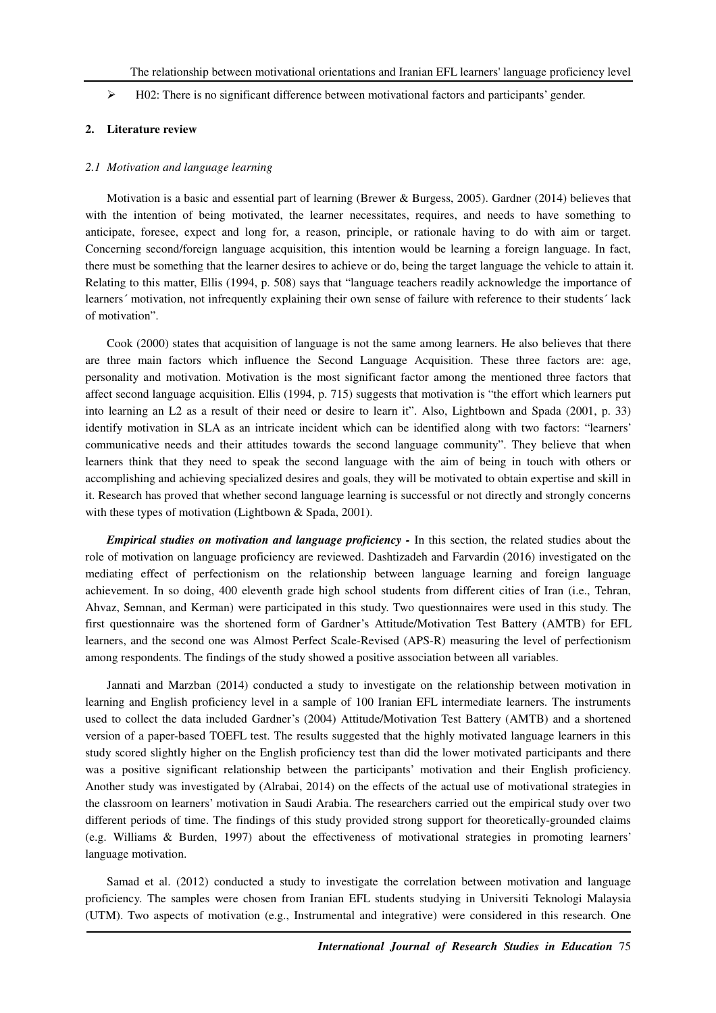$\triangleright$  H02: There is no significant difference between motivational factors and participants' gender.

# **2. Literature review**

#### *2.1 Motivation and language learning*

Motivation is a basic and essential part of learning (Brewer & Burgess, 2005). Gardner (2014) believes that with the intention of being motivated, the learner necessitates, requires, and needs to have something to anticipate, foresee, expect and long for, a reason, principle, or rationale having to do with aim or target. Concerning second/foreign language acquisition, this intention would be learning a foreign language. In fact, there must be something that the learner desires to achieve or do, being the target language the vehicle to attain it. Relating to this matter, Ellis (1994, p. 508) says that "language teachers readily acknowledge the importance of learners´ motivation, not infrequently explaining their own sense of failure with reference to their students´ lack of motivation".

Cook (2000) states that acquisition of language is not the same among learners. He also believes that there are three main factors which influence the Second Language Acquisition. These three factors are: age, personality and motivation. Motivation is the most significant factor among the mentioned three factors that affect second language acquisition. Ellis (1994, p. 715) suggests that motivation is "the effort which learners put into learning an L2 as a result of their need or desire to learn it". Also, Lightbown and Spada (2001, p. 33) identify motivation in SLA as an intricate incident which can be identified along with two factors: "learners' communicative needs and their attitudes towards the second language community". They believe that when learners think that they need to speak the second language with the aim of being in touch with others or accomplishing and achieving specialized desires and goals, they will be motivated to obtain expertise and skill in it. Research has proved that whether second language learning is successful or not directly and strongly concerns with these types of motivation (Lightbown & Spada, 2001).

*Empirical studies on motivation and language proficiency - In this section, the related studies about the* role of motivation on language proficiency are reviewed. Dashtizadeh and Farvardin (2016) investigated on the mediating effect of perfectionism on the relationship between language learning and foreign language achievement. In so doing, 400 eleventh grade high school students from different cities of Iran (i.e., Tehran, Ahvaz, Semnan, and Kerman) were participated in this study. Two questionnaires were used in this study. The first questionnaire was the shortened form of Gardner's Attitude/Motivation Test Battery (AMTB) for EFL learners, and the second one was Almost Perfect Scale-Revised (APS-R) measuring the level of perfectionism among respondents. The findings of the study showed a positive association between all variables.

Jannati and Marzban (2014) conducted a study to investigate on the relationship between motivation in learning and English proficiency level in a sample of 100 Iranian EFL intermediate learners. The instruments used to collect the data included Gardner's (2004) Attitude/Motivation Test Battery (AMTB) and a shortened version of a paper-based TOEFL test. The results suggested that the highly motivated language learners in this study scored slightly higher on the English proficiency test than did the lower motivated participants and there was a positive significant relationship between the participants' motivation and their English proficiency. Another study was investigated by (Alrabai, 2014) on the effects of the actual use of motivational strategies in the classroom on learners' motivation in Saudi Arabia. The researchers carried out the empirical study over two different periods of time. The findings of this study provided strong support for theoretically-grounded claims (e.g. Williams & Burden, 1997) about the effectiveness of motivational strategies in promoting learners' language motivation.

Samad et al. (2012) conducted a study to investigate the correlation between motivation and language proficiency. The samples were chosen from Iranian EFL students studying in Universiti Teknologi Malaysia (UTM). Two aspects of motivation (e.g., Instrumental and integrative) were considered in this research. One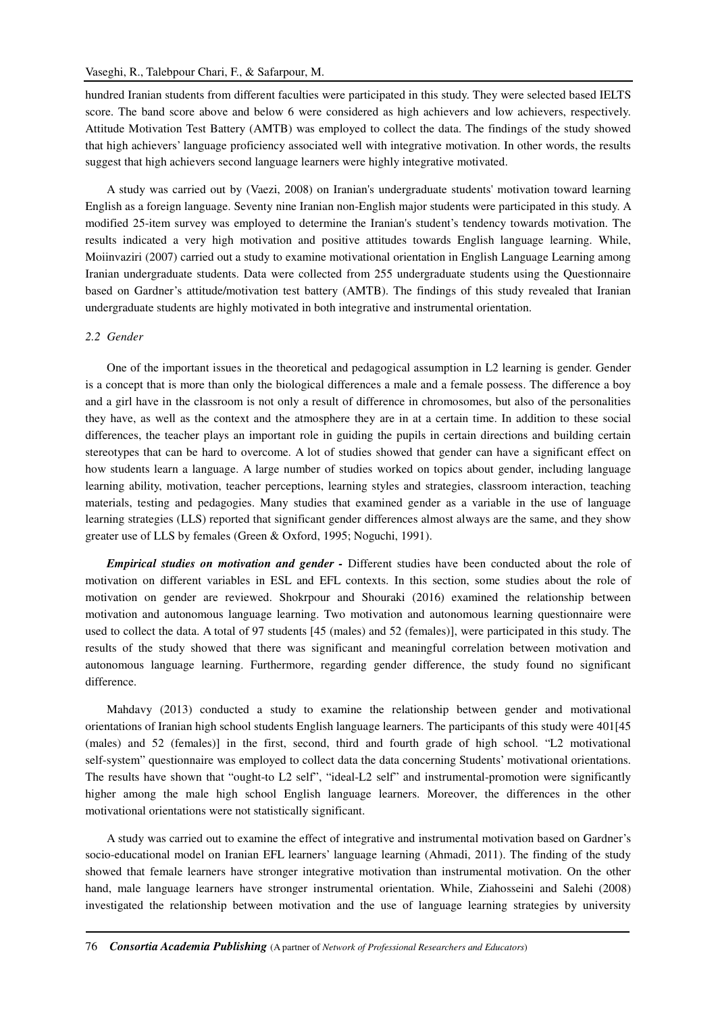hundred Iranian students from different faculties were participated in this study. They were selected based IELTS score. The band score above and below 6 were considered as high achievers and low achievers, respectively. Attitude Motivation Test Battery (AMTB) was employed to collect the data. The findings of the study showed that high achievers' language proficiency associated well with integrative motivation. In other words, the results suggest that high achievers second language learners were highly integrative motivated.

A study was carried out by (Vaezi, 2008) on Iranian's undergraduate students' motivation toward learning English as a foreign language. Seventy nine Iranian non-English major students were participated in this study. A modified 25-item survey was employed to determine the Iranian's student's tendency towards motivation. The results indicated a very high motivation and positive attitudes towards English language learning. While, Moiinvaziri (2007) carried out a study to examine motivational orientation in English Language Learning among Iranian undergraduate students. Data were collected from 255 undergraduate students using the Questionnaire based on Gardner's attitude/motivation test battery (AMTB). The findings of this study revealed that Iranian undergraduate students are highly motivated in both integrative and instrumental orientation.

#### *2.2 Gender*

One of the important issues in the theoretical and pedagogical assumption in L2 learning is gender. Gender is a concept that is more than only the biological differences a male and a female possess. The difference a boy and a girl have in the classroom is not only a result of difference in chromosomes, but also of the personalities they have, as well as the context and the atmosphere they are in at a certain time. In addition to these social differences, the teacher plays an important role in guiding the pupils in certain directions and building certain stereotypes that can be hard to overcome. A lot of studies showed that gender can have a significant effect on how students learn a language. A large number of studies worked on topics about gender, including language learning ability, motivation, teacher perceptions, learning styles and strategies, classroom interaction, teaching materials, testing and pedagogies. Many studies that examined gender as a variable in the use of language learning strategies (LLS) reported that significant gender differences almost always are the same, and they show greater use of LLS by females (Green & Oxford, 1995; Noguchi, 1991).

*Empirical studies on motivation and gender -* Different studies have been conducted about the role of motivation on different variables in ESL and EFL contexts. In this section, some studies about the role of motivation on gender are reviewed. Shokrpour and Shouraki (2016) examined the relationship between motivation and autonomous language learning. Two motivation and autonomous learning questionnaire were used to collect the data. A total of 97 students [45 (males) and 52 (females)], were participated in this study. The results of the study showed that there was significant and meaningful correlation between motivation and autonomous language learning. Furthermore, regarding gender difference, the study found no significant difference.

Mahdavy (2013) conducted a study to examine the relationship between gender and motivational orientations of Iranian high school students English language learners. The participants of this study were 401[45 (males) and 52 (females)] in the first, second, third and fourth grade of high school. "L2 motivational self-system" questionnaire was employed to collect data the data concerning Students' motivational orientations. The results have shown that "ought-to L2 self", "ideal-L2 self" and instrumental-promotion were significantly higher among the male high school English language learners. Moreover, the differences in the other motivational orientations were not statistically significant.

A study was carried out to examine the effect of integrative and instrumental motivation based on Gardner's socio-educational model on Iranian EFL learners' language learning (Ahmadi, 2011). The finding of the study showed that female learners have stronger integrative motivation than instrumental motivation. On the other hand, male language learners have stronger instrumental orientation. While, Ziahosseini and Salehi (2008) investigated the relationship between motivation and the use of language learning strategies by university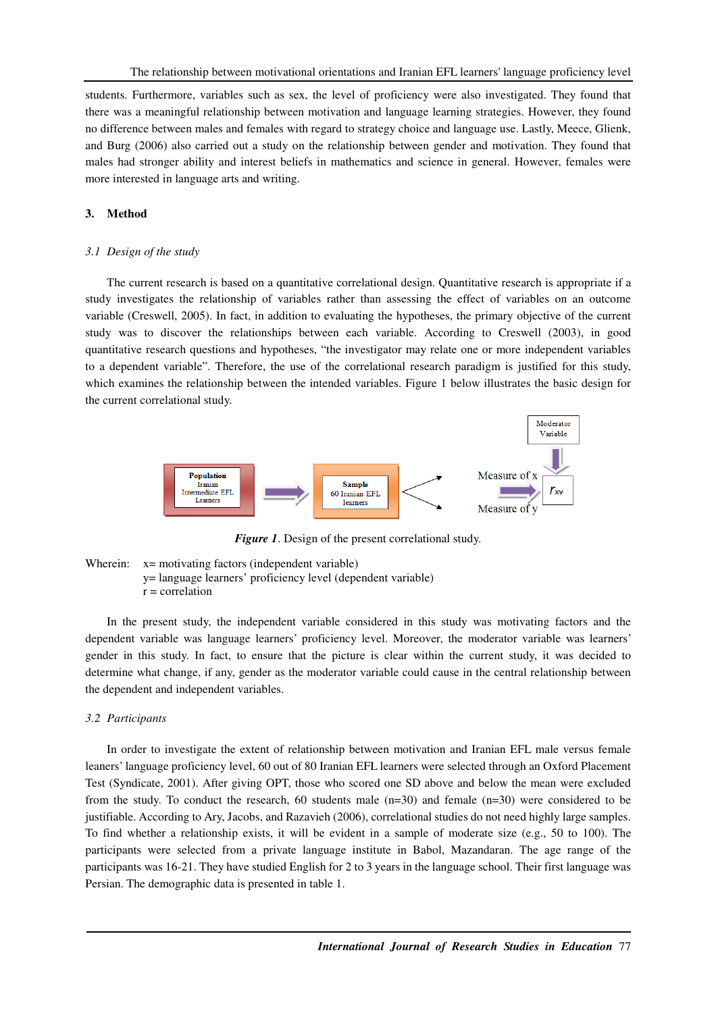students. Furthermore, variables such as sex, the level of proficiency were also investigated. They found that there was a meaningful relationship between motivation and language learning strategies. However, they found no difference between males and females with regard to strategy choice and language use. Lastly, Meece, Glienk, and Burg (2006) also carried out a study on the relationship between gender and motivation. They found that males had stronger ability and interest beliefs in mathematics and science in general. However, females were more interested in language arts and writing.

#### **3. Method**

#### *3.1 Design of the study*

The current research is based on a quantitative correlational design. Quantitative research is appropriate if a study investigates the relationship of variables rather than assessing the effect of variables on an outcome variable (Creswell, 2005). In fact, in addition to evaluating the hypotheses, the primary objective of the current study was to discover the relationships between each variable. According to Creswell (2003), in good quantitative research questions and hypotheses, "the investigator may relate one or more independent variables to a dependent variable". Therefore, the use of the correlational research paradigm is justified for this study, which examines the relationship between the intended variables. Figure 1 below illustrates the basic design for the current correlational study.



*Figure 1*. Design of the present correlational study.

Wherein:  $x=$  motivating factors (independent variable) y= language learners' proficiency level (dependent variable)  $r =$  correlation

In the present study, the independent variable considered in this study was motivating factors and the dependent variable was language learners' proficiency level. Moreover, the moderator variable was learners' gender in this study. In fact, to ensure that the picture is clear within the current study, it was decided to determine what change, if any, gender as the moderator variable could cause in the central relationship between the dependent and independent variables.

#### *3.2 Participants*

In order to investigate the extent of relationship between motivation and Iranian EFL male versus female leaners' language proficiency level, 60 out of 80 Iranian EFL learners were selected through an Oxford Placement Test (Syndicate, 2001). After giving OPT, those who scored one SD above and below the mean were excluded from the study. To conduct the research, 60 students male (n=30) and female (n=30) were considered to be justifiable. According to Ary, Jacobs, and Razavieh (2006), correlational studies do not need highly large samples. To find whether a relationship exists, it will be evident in a sample of moderate size (e.g., 50 to 100). The participants were selected from a private language institute in Babol, Mazandaran. The age range of the participants was 16-21. They have studied English for 2 to 3 years in the language school. Their first language was Persian. The demographic data is presented in table 1.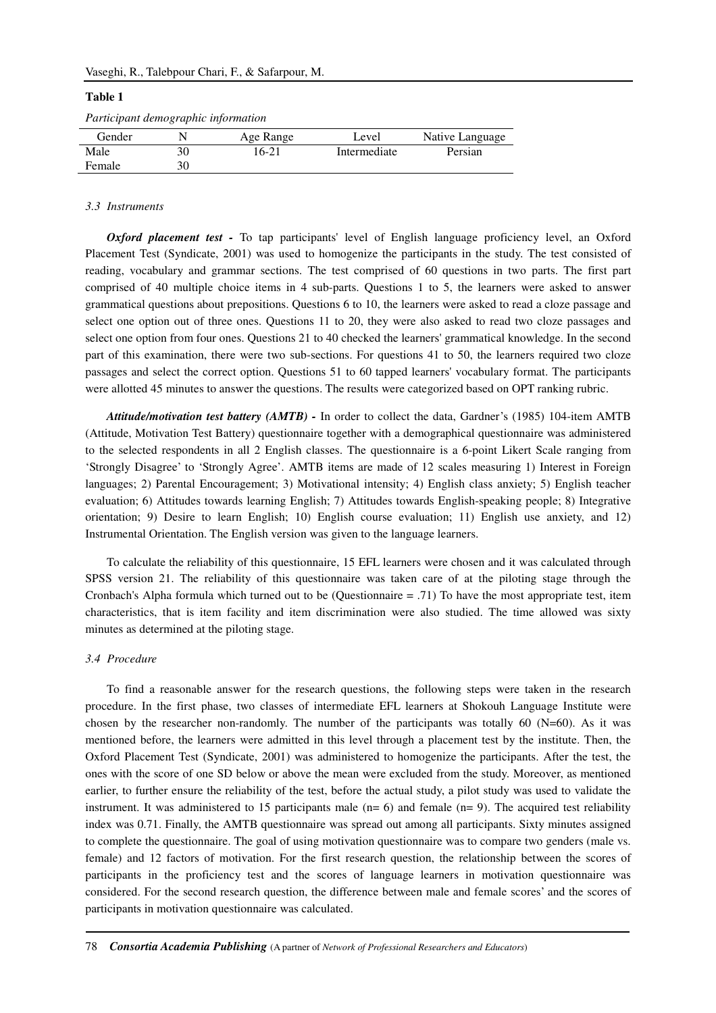#### Vaseghi, R., Talebpour Chari, F., & Safarpour, M.

#### **Table 1**

| Participant demographic information |  |
|-------------------------------------|--|
|                                     |  |

| Gender |    | Age Range | Level        | Native Language |
|--------|----|-----------|--------------|-----------------|
| Male   | 30 | 16-21     | Intermediate | Persian         |
| Female | 30 |           |              |                 |

#### *3.3 Instruments*

*Oxford placement test -* To tap participants' level of English language proficiency level, an Oxford Placement Test (Syndicate, 2001) was used to homogenize the participants in the study. The test consisted of reading, vocabulary and grammar sections. The test comprised of 60 questions in two parts. The first part comprised of 40 multiple choice items in 4 sub-parts. Questions 1 to 5, the learners were asked to answer grammatical questions about prepositions. Questions 6 to 10, the learners were asked to read a cloze passage and select one option out of three ones. Questions 11 to 20, they were also asked to read two cloze passages and select one option from four ones. Questions 21 to 40 checked the learners' grammatical knowledge. In the second part of this examination, there were two sub-sections. For questions 41 to 50, the learners required two cloze passages and select the correct option. Questions 51 to 60 tapped learners' vocabulary format. The participants were allotted 45 minutes to answer the questions. The results were categorized based on OPT ranking rubric.

*Attitude/motivation test battery (AMTB) -* In order to collect the data, Gardner's (1985) 104-item AMTB (Attitude, Motivation Test Battery) questionnaire together with a demographical questionnaire was administered to the selected respondents in all 2 English classes. The questionnaire is a 6-point Likert Scale ranging from 'Strongly Disagree' to 'Strongly Agree'. AMTB items are made of 12 scales measuring 1) Interest in Foreign languages; 2) Parental Encouragement; 3) Motivational intensity; 4) English class anxiety; 5) English teacher evaluation; 6) Attitudes towards learning English; 7) Attitudes towards English-speaking people; 8) Integrative orientation; 9) Desire to learn English; 10) English course evaluation; 11) English use anxiety, and 12) Instrumental Orientation. The English version was given to the language learners.

To calculate the reliability of this questionnaire, 15 EFL learners were chosen and it was calculated through SPSS version 21. The reliability of this questionnaire was taken care of at the piloting stage through the Cronbach's Alpha formula which turned out to be (Questionnaire  $= .71$ ) To have the most appropriate test, item characteristics, that is item facility and item discrimination were also studied. The time allowed was sixty minutes as determined at the piloting stage.

### *3.4 Procedure*

To find a reasonable answer for the research questions, the following steps were taken in the research procedure. In the first phase, two classes of intermediate EFL learners at Shokouh Language Institute were chosen by the researcher non-randomly. The number of the participants was totally  $60$  (N=60). As it was mentioned before, the learners were admitted in this level through a placement test by the institute. Then, the Oxford Placement Test (Syndicate, 2001) was administered to homogenize the participants. After the test, the ones with the score of one SD below or above the mean were excluded from the study. Moreover, as mentioned earlier, to further ensure the reliability of the test, before the actual study, a pilot study was used to validate the instrument. It was administered to 15 participants male  $(n= 6)$  and female  $(n= 9)$ . The acquired test reliability index was 0.71. Finally, the AMTB questionnaire was spread out among all participants. Sixty minutes assigned to complete the questionnaire. The goal of using motivation questionnaire was to compare two genders (male vs. female) and 12 factors of motivation. For the first research question, the relationship between the scores of participants in the proficiency test and the scores of language learners in motivation questionnaire was considered. For the second research question, the difference between male and female scores' and the scores of participants in motivation questionnaire was calculated.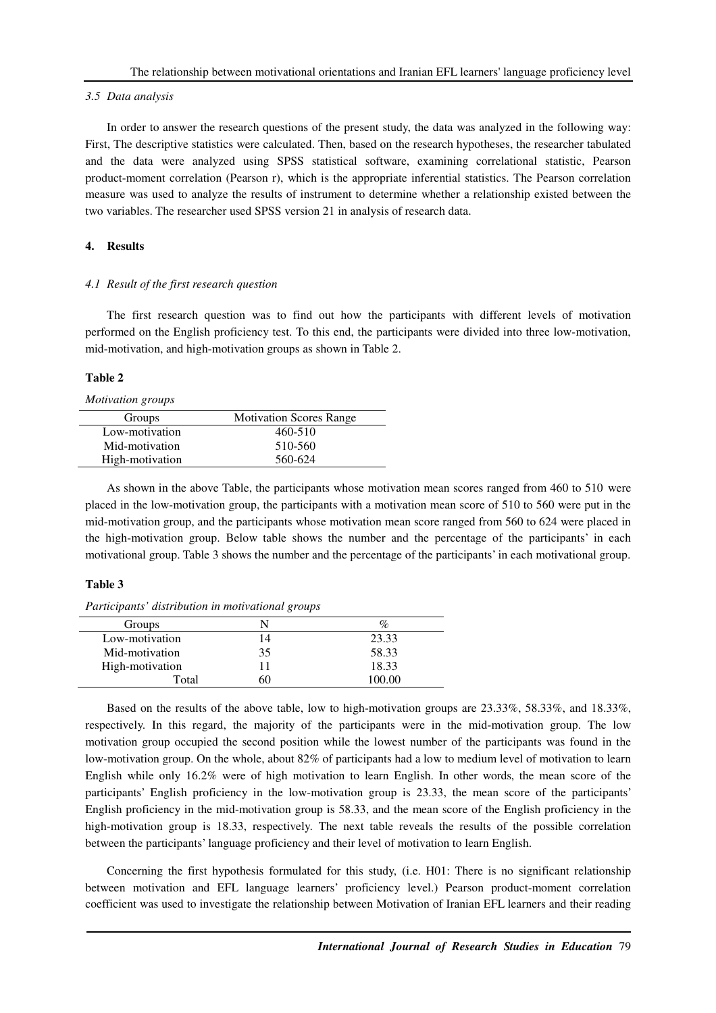#### *3.5 Data analysis*

In order to answer the research questions of the present study, the data was analyzed in the following way: First, The descriptive statistics were calculated. Then, based on the research hypotheses, the researcher tabulated and the data were analyzed using SPSS statistical software, examining correlational statistic, Pearson product-moment correlation (Pearson r), which is the appropriate inferential statistics. The Pearson correlation measure was used to analyze the results of instrument to determine whether a relationship existed between the two variables. The researcher used SPSS version 21 in analysis of research data.

# **4. Results**

# *4.1 Result of the first research question*

The first research question was to find out how the participants with different levels of motivation performed on the English proficiency test. To this end, the participants were divided into three low-motivation, mid-motivation, and high-motivation groups as shown in Table 2.

# **Table 2**

*Motivation groups* 

| Groups          | <b>Motivation Scores Range</b> |
|-----------------|--------------------------------|
| Low-motivation  | 460-510                        |
| Mid-motivation  | 510-560                        |
| High-motivation | 560-624                        |

As shown in the above Table, the participants whose motivation mean scores ranged from 460 to 510 were placed in the low-motivation group, the participants with a motivation mean score of 510 to 560 were put in the mid-motivation group, and the participants whose motivation mean score ranged from 560 to 624 were placed in the high-motivation group. Below table shows the number and the percentage of the participants' in each motivational group. Table 3 shows the number and the percentage of the participants' in each motivational group.

#### **Table 3**

*Participants' distribution in motivational groups* 

| Groups          |    |        |
|-----------------|----|--------|
| Low-motivation  | 14 | 23.33  |
| Mid-motivation  | 35 | 58.33  |
| High-motivation |    | 18.33  |
| Total           | 60 | 100.00 |

Based on the results of the above table, low to high-motivation groups are 23.33%, 58.33%, and 18.33%, respectively. In this regard, the majority of the participants were in the mid-motivation group. The low motivation group occupied the second position while the lowest number of the participants was found in the low-motivation group. On the whole, about 82% of participants had a low to medium level of motivation to learn English while only 16.2% were of high motivation to learn English. In other words, the mean score of the participants' English proficiency in the low-motivation group is 23.33, the mean score of the participants' English proficiency in the mid-motivation group is 58.33, and the mean score of the English proficiency in the high-motivation group is 18.33, respectively. The next table reveals the results of the possible correlation between the participants' language proficiency and their level of motivation to learn English.

Concerning the first hypothesis formulated for this study, (i.e. H01: There is no significant relationship between motivation and EFL language learners' proficiency level.) Pearson product-moment correlation coefficient was used to investigate the relationship between Motivation of Iranian EFL learners and their reading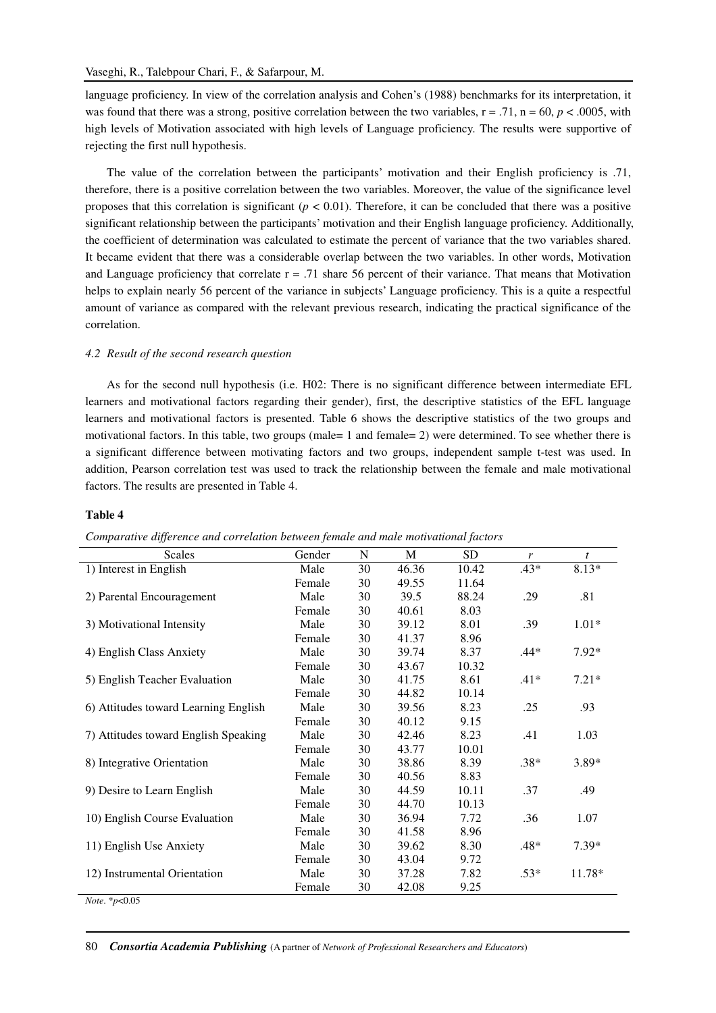language proficiency. In view of the correlation analysis and Cohen's (1988) benchmarks for its interpretation, it was found that there was a strong, positive correlation between the two variables,  $r = .71$ ,  $n = 60$ ,  $p < .0005$ , with high levels of Motivation associated with high levels of Language proficiency. The results were supportive of rejecting the first null hypothesis.

The value of the correlation between the participants' motivation and their English proficiency is .71, therefore, there is a positive correlation between the two variables. Moreover, the value of the significance level proposes that this correlation is significant ( $p < 0.01$ ). Therefore, it can be concluded that there was a positive significant relationship between the participants' motivation and their English language proficiency. Additionally, the coefficient of determination was calculated to estimate the percent of variance that the two variables shared. It became evident that there was a considerable overlap between the two variables. In other words, Motivation and Language proficiency that correlate  $r = .71$  share 56 percent of their variance. That means that Motivation helps to explain nearly 56 percent of the variance in subjects' Language proficiency. This is a quite a respectful amount of variance as compared with the relevant previous research, indicating the practical significance of the correlation.

#### *4.2 Result of the second research question*

As for the second null hypothesis (i.e. H02: There is no significant difference between intermediate EFL learners and motivational factors regarding their gender), first, the descriptive statistics of the EFL language learners and motivational factors is presented. Table 6 shows the descriptive statistics of the two groups and motivational factors. In this table, two groups (male= 1 and female= 2) were determined. To see whether there is a significant difference between motivating factors and two groups, independent sample t-test was used. In addition, Pearson correlation test was used to track the relationship between the female and male motivational factors. The results are presented in Table 4.

#### **Table 4**

| <b>Scales</b>                        | Gender | $\mathbf N$ | M     | <b>SD</b> | r      | $\boldsymbol{t}$ |
|--------------------------------------|--------|-------------|-------|-----------|--------|------------------|
| 1) Interest in English               | Male   | 30          | 46.36 | 10.42     | $.43*$ | 8.13*            |
|                                      | Female | 30          | 49.55 | 11.64     |        |                  |
| 2) Parental Encouragement            | Male   | 30          | 39.5  | 88.24     | .29    | .81              |
|                                      | Female | 30          | 40.61 | 8.03      |        |                  |
| 3) Motivational Intensity            | Male   | 30          | 39.12 | 8.01      | .39    | $1.01*$          |
|                                      | Female | 30          | 41.37 | 8.96      |        |                  |
| 4) English Class Anxiety             | Male   | 30          | 39.74 | 8.37      | .44*   | $7.92*$          |
|                                      | Female | 30          | 43.67 | 10.32     |        |                  |
| 5) English Teacher Evaluation        | Male   | 30          | 41.75 | 8.61      | $.41*$ | $7.21*$          |
|                                      | Female | 30          | 44.82 | 10.14     |        |                  |
| 6) Attitudes toward Learning English | Male   | 30          | 39.56 | 8.23      | .25    | .93              |
|                                      | Female | 30          | 40.12 | 9.15      |        |                  |
| 7) Attitudes toward English Speaking | Male   | 30          | 42.46 | 8.23      | .41    | 1.03             |
|                                      | Female | 30          | 43.77 | 10.01     |        |                  |
| 8) Integrative Orientation           | Male   | 30          | 38.86 | 8.39      | $.38*$ | 3.89*            |
|                                      | Female | 30          | 40.56 | 8.83      |        |                  |
| 9) Desire to Learn English           | Male   | 30          | 44.59 | 10.11     | .37    | .49              |
|                                      | Female | 30          | 44.70 | 10.13     |        |                  |
| 10) English Course Evaluation        | Male   | 30          | 36.94 | 7.72      | .36    | 1.07             |
|                                      | Female | 30          | 41.58 | 8.96      |        |                  |
| 11) English Use Anxiety              | Male   | 30          | 39.62 | 8.30      | $.48*$ | $7.39*$          |
|                                      | Female | 30          | 43.04 | 9.72      |        |                  |
| 12) Instrumental Orientation         | Male   | 30          | 37.28 | 7.82      | $.53*$ | $11.78*$         |
|                                      | Female | 30          | 42.08 | 9.25      |        |                  |
| <i>Note</i> . $*_{p<0.05}$           |        |             |       |           |        |                  |

*Comparative difference and correlation between female and male motivational factors*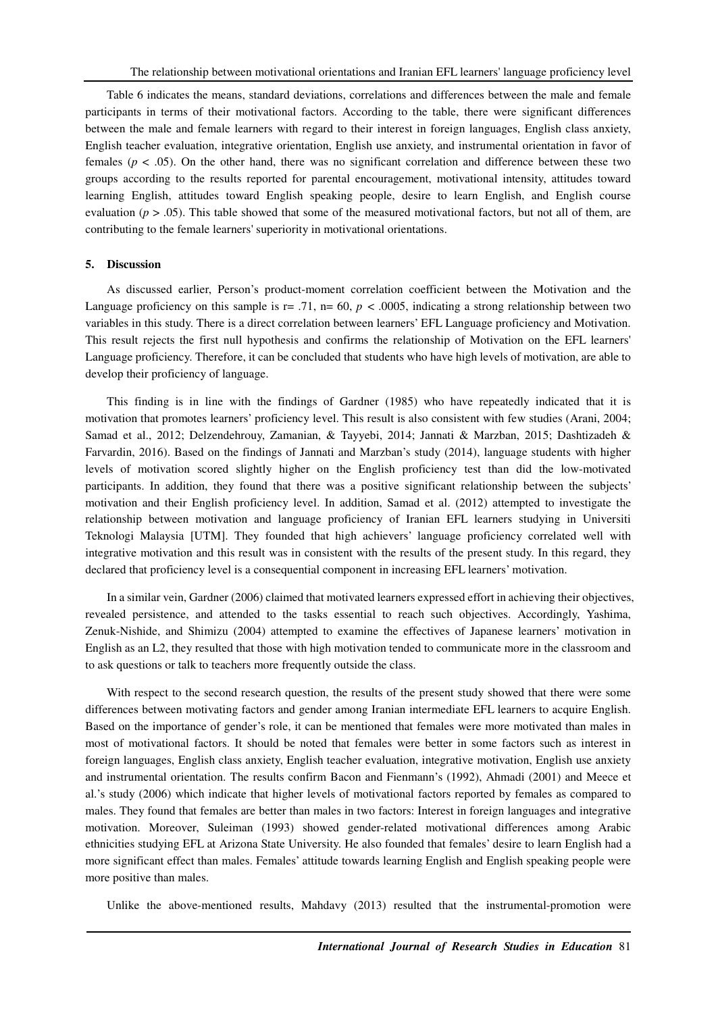Table 6 indicates the means, standard deviations, correlations and differences between the male and female participants in terms of their motivational factors. According to the table, there were significant differences between the male and female learners with regard to their interest in foreign languages, English class anxiety, English teacher evaluation, integrative orientation, English use anxiety, and instrumental orientation in favor of females ( $p < .05$ ). On the other hand, there was no significant correlation and difference between these two groups according to the results reported for parental encouragement, motivational intensity, attitudes toward learning English, attitudes toward English speaking people, desire to learn English, and English course evaluation  $(p > .05)$ . This table showed that some of the measured motivational factors, but not all of them, are contributing to the female learners' superiority in motivational orientations.

### **5. Discussion**

As discussed earlier, Person's product-moment correlation coefficient between the Motivation and the Language proficiency on this sample is  $r = .71$ ,  $n = 60$ ,  $p < .0005$ , indicating a strong relationship between two variables in this study. There is a direct correlation between learners' EFL Language proficiency and Motivation. This result rejects the first null hypothesis and confirms the relationship of Motivation on the EFL learners' Language proficiency. Therefore, it can be concluded that students who have high levels of motivation, are able to develop their proficiency of language.

This finding is in line with the findings of Gardner (1985) who have repeatedly indicated that it is motivation that promotes learners' proficiency level. This result is also consistent with few studies (Arani, 2004; Samad et al., 2012; Delzendehrouy, Zamanian, & Tayyebi, 2014; Jannati & Marzban, 2015; Dashtizadeh & Farvardin, 2016). Based on the findings of Jannati and Marzban's study (2014), language students with higher levels of motivation scored slightly higher on the English proficiency test than did the low-motivated participants. In addition, they found that there was a positive significant relationship between the subjects' motivation and their English proficiency level. In addition, Samad et al. (2012) attempted to investigate the relationship between motivation and language proficiency of Iranian EFL learners studying in Universiti Teknologi Malaysia [UTM]. They founded that high achievers' language proficiency correlated well with integrative motivation and this result was in consistent with the results of the present study. In this regard, they declared that proficiency level is a consequential component in increasing EFL learners' motivation.

In a similar vein, Gardner (2006) claimed that motivated learners expressed effort in achieving their objectives, revealed persistence, and attended to the tasks essential to reach such objectives. Accordingly, Yashima, Zenuk-Nishide, and Shimizu (2004) attempted to examine the effectives of Japanese learners' motivation in English as an L2, they resulted that those with high motivation tended to communicate more in the classroom and to ask questions or talk to teachers more frequently outside the class.

With respect to the second research question, the results of the present study showed that there were some differences between motivating factors and gender among Iranian intermediate EFL learners to acquire English. Based on the importance of gender's role, it can be mentioned that females were more motivated than males in most of motivational factors. It should be noted that females were better in some factors such as interest in foreign languages, English class anxiety, English teacher evaluation, integrative motivation, English use anxiety and instrumental orientation. The results confirm Bacon and Fienmann's (1992), Ahmadi (2001) and Meece et al.'s study (2006) which indicate that higher levels of motivational factors reported by females as compared to males. They found that females are better than males in two factors: Interest in foreign languages and integrative motivation. Moreover, Suleiman (1993) showed gender-related motivational differences among Arabic ethnicities studying EFL at Arizona State University. He also founded that females' desire to learn English had a more significant effect than males. Females' attitude towards learning English and English speaking people were more positive than males.

Unlike the above-mentioned results, Mahdavy (2013) resulted that the instrumental-promotion were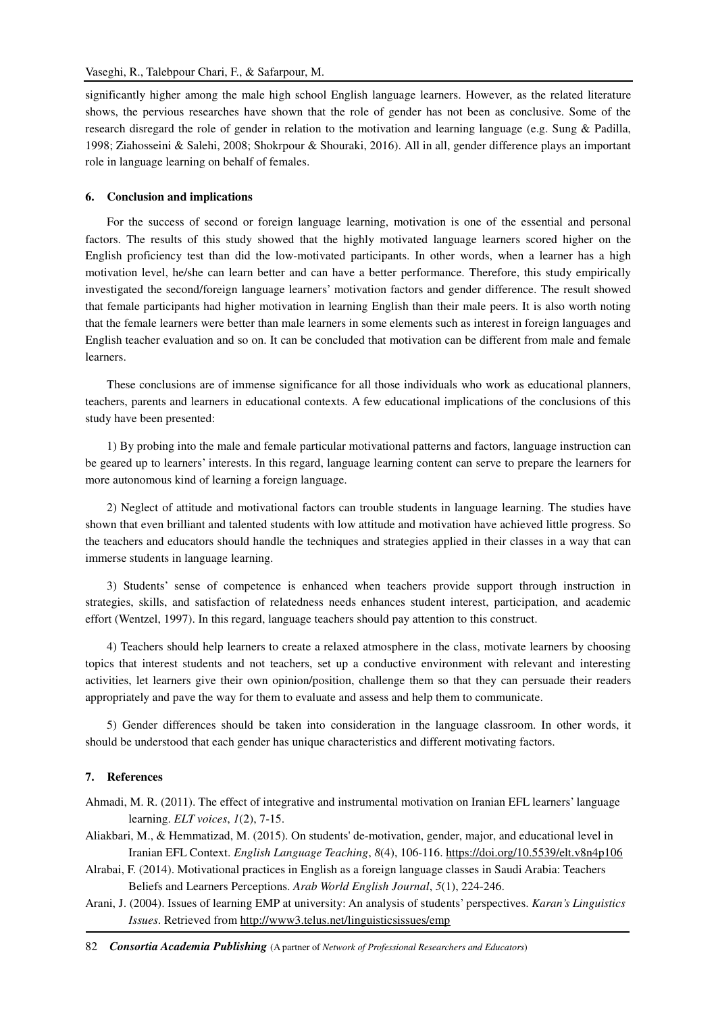significantly higher among the male high school English language learners. However, as the related literature shows, the pervious researches have shown that the role of gender has not been as conclusive. Some of the research disregard the role of gender in relation to the motivation and learning language (e.g. Sung & Padilla, 1998; Ziahosseini & Salehi, 2008; Shokrpour & Shouraki, 2016). All in all, gender difference plays an important role in language learning on behalf of females.

### **6. Conclusion and implications**

For the success of second or foreign language learning, motivation is one of the essential and personal factors. The results of this study showed that the highly motivated language learners scored higher on the English proficiency test than did the low-motivated participants. In other words, when a learner has a high motivation level, he/she can learn better and can have a better performance. Therefore, this study empirically investigated the second/foreign language learners' motivation factors and gender difference. The result showed that female participants had higher motivation in learning English than their male peers. It is also worth noting that the female learners were better than male learners in some elements such as interest in foreign languages and English teacher evaluation and so on. It can be concluded that motivation can be different from male and female learners.

These conclusions are of immense significance for all those individuals who work as educational planners, teachers, parents and learners in educational contexts. A few educational implications of the conclusions of this study have been presented:

1) By probing into the male and female particular motivational patterns and factors, language instruction can be geared up to learners' interests. In this regard, language learning content can serve to prepare the learners for more autonomous kind of learning a foreign language.

2) Neglect of attitude and motivational factors can trouble students in language learning. The studies have shown that even brilliant and talented students with low attitude and motivation have achieved little progress. So the teachers and educators should handle the techniques and strategies applied in their classes in a way that can immerse students in language learning.

3) Students' sense of competence is enhanced when teachers provide support through instruction in strategies, skills, and satisfaction of relatedness needs enhances student interest, participation, and academic effort (Wentzel, 1997). In this regard, language teachers should pay attention to this construct.

4) Teachers should help learners to create a relaxed atmosphere in the class, motivate learners by choosing topics that interest students and not teachers, set up a conductive environment with relevant and interesting activities, let learners give their own opinion/position, challenge them so that they can persuade their readers appropriately and pave the way for them to evaluate and assess and help them to communicate.

5) Gender differences should be taken into consideration in the language classroom. In other words, it should be understood that each gender has unique characteristics and different motivating factors.

#### **7. References**

Ahmadi, M. R. (2011). The effect of integrative and instrumental motivation on Iranian EFL learners' language learning. *ELT voices*, *1*(2), 7-15.

Aliakbari, M., & Hemmatizad, M. (2015). On students' de-motivation, gender, major, and educational level in Iranian EFL Context. *English Language Teaching*, *8*(4), 106-116. https://doi.org/10.5539/elt.v8n4p106

Alrabai, F. (2014). Motivational practices in English as a foreign language classes in Saudi Arabia: Teachers Beliefs and Learners Perceptions. *Arab World English Journal*, *5*(1), 224-246.

Arani, J. (2004). Issues of learning EMP at university: An analysis of students' perspectives. *Karan's Linguistics Issues*. Retrieved from http://www3.telus.net/linguisticsissues/emp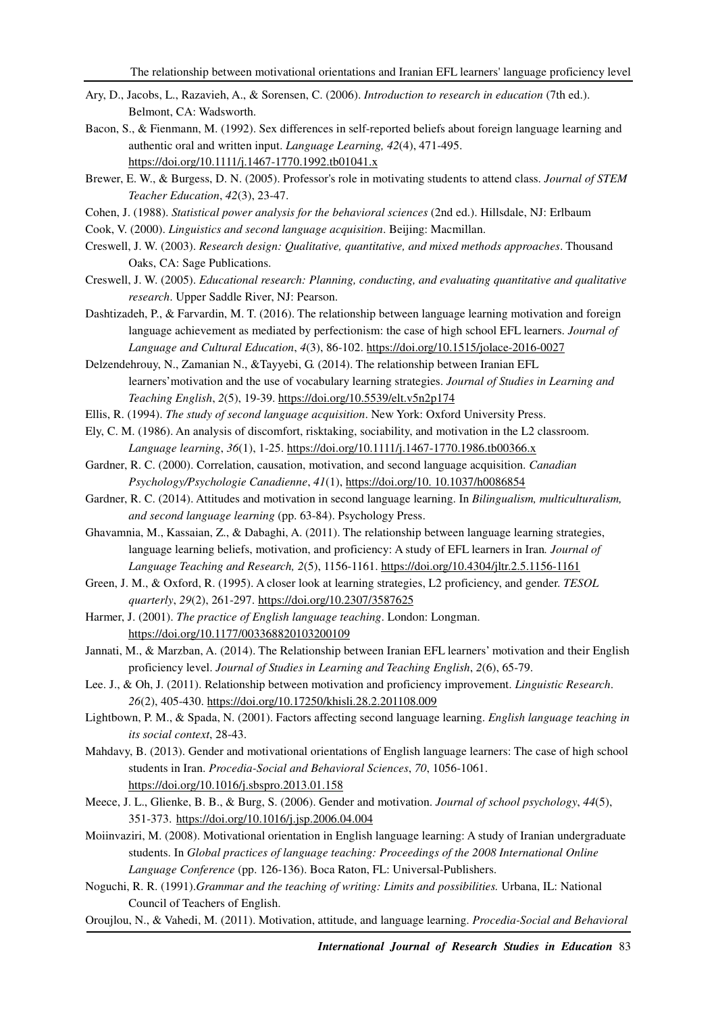- Ary, D., Jacobs, L., Razavieh, A., & Sorensen, C. (2006). *Introduction to research in education* (7th ed.). Belmont, CA: Wadsworth.
- Bacon, S., & Fienmann, M. (1992). Sex differences in self-reported beliefs about foreign language learning and authentic oral and written input. *Language Learning, 42*(4), 471-495. https://doi.org/10.1111/j.1467-1770.1992.tb01041.x
- Brewer, E. W., & Burgess, D. N. (2005). Professor's role in motivating students to attend class. *Journal of STEM Teacher Education*, *42*(3), 23-47.
- Cohen, J. (1988). *Statistical power analysis for the behavioral sciences* (2nd ed.). Hillsdale, NJ: Erlbaum

Cook, V. (2000). *Linguistics and second language acquisition*. Beijing: Macmillan.

- Creswell, J. W. (2003). *Research design: Qualitative, quantitative, and mixed methods approaches*. Thousand Oaks, CA: Sage Publications.
- Creswell, J. W. (2005). *Educational research: Planning, conducting, and evaluating quantitative and qualitative research*. Upper Saddle River, NJ: Pearson.
- Dashtizadeh, P., & Farvardin, M. T. (2016). The relationship between language learning motivation and foreign language achievement as mediated by perfectionism: the case of high school EFL learners. *Journal of Language and Cultural Education*, *4*(3), 86-102. https://doi.org/10.1515/jolace-2016-0027

Delzendehrouy, N., Zamanian N., &Tayyebi, G. (2014). The relationship between Iranian EFL learners'motivation and the use of vocabulary learning strategies. *Journal of Studies in Learning and Teaching English*, *2*(5), 19-39. https://doi.org/10.5539/elt.v5n2p174

- Ellis, R. (1994). *The study of second language acquisition*. New York: Oxford University Press.
- Ely, C. M. (1986). An analysis of discomfort, risktaking, sociability, and motivation in the L2 classroom. *Language learning*, *36*(1), 1-25. https://doi.org/10.1111/j.1467-1770.1986.tb00366.x
- Gardner, R. C. (2000). Correlation, causation, motivation, and second language acquisition. *Canadian Psychology/Psychologie Canadienne*, *41*(1), https://doi.org/10. 10.1037/h0086854
- Gardner, R. C. (2014). Attitudes and motivation in second language learning. In *Bilingualism, multiculturalism, and second language learning* (pp. 63-84). Psychology Press.
- Ghavamnia, M., Kassaian, Z., & Dabaghi, A. (2011). The relationship between language learning strategies, language learning beliefs, motivation, and proficiency: A study of EFL learners in Iran*. Journal of Language Teaching and Research, 2*(5), 1156-1161. https://doi.org/10.4304/jltr.2.5.1156-1161
- Green, J. M., & Oxford, R. (1995). A closer look at learning strategies, L2 proficiency, and gender. *TESOL quarterly*, *29*(2), 261-297. https://doi.org/10.2307/3587625
- Harmer, J. (2001). *The practice of English language teaching*. London: Longman. https://doi.org/10.1177/003368820103200109
- Jannati, M., & Marzban, A. (2014). The Relationship between Iranian EFL learners' motivation and their English proficiency level. *Journal of Studies in Learning and Teaching English*, *2*(6), 65-79.
- Lee. J., & Oh, J. (2011). Relationship between motivation and proficiency improvement. *Linguistic Research*. *26*(2), 405-430. https://doi.org/10.17250/khisli.28.2.201108.009
- Lightbown, P. M., & Spada, N. (2001). Factors affecting second language learning. *English language teaching in its social context*, 28-43.
- Mahdavy, B. (2013). Gender and motivational orientations of English language learners: The case of high school students in Iran. *Procedia-Social and Behavioral Sciences*, *70*, 1056-1061. https://doi.org/10.1016/j.sbspro.2013.01.158
- Meece, J. L., Glienke, B. B., & Burg, S. (2006). Gender and motivation. *Journal of school psychology*, *44*(5), 351-373. https://doi.org/10.1016/j.jsp.2006.04.004
- Moiinvaziri, M. (2008). Motivational orientation in English language learning: A study of Iranian undergraduate students. In *Global practices of language teaching: Proceedings of the 2008 International Online Language Conference* (pp. 126-136). Boca Raton, FL: Universal-Publishers.
- Noguchi, R. R. (1991).*Grammar and the teaching of writing: Limits and possibilities.* Urbana, IL: National Council of Teachers of English.
- Oroujlou, N., & Vahedi, M. (2011). Motivation, attitude, and language learning. *Procedia-Social and Behavioral*